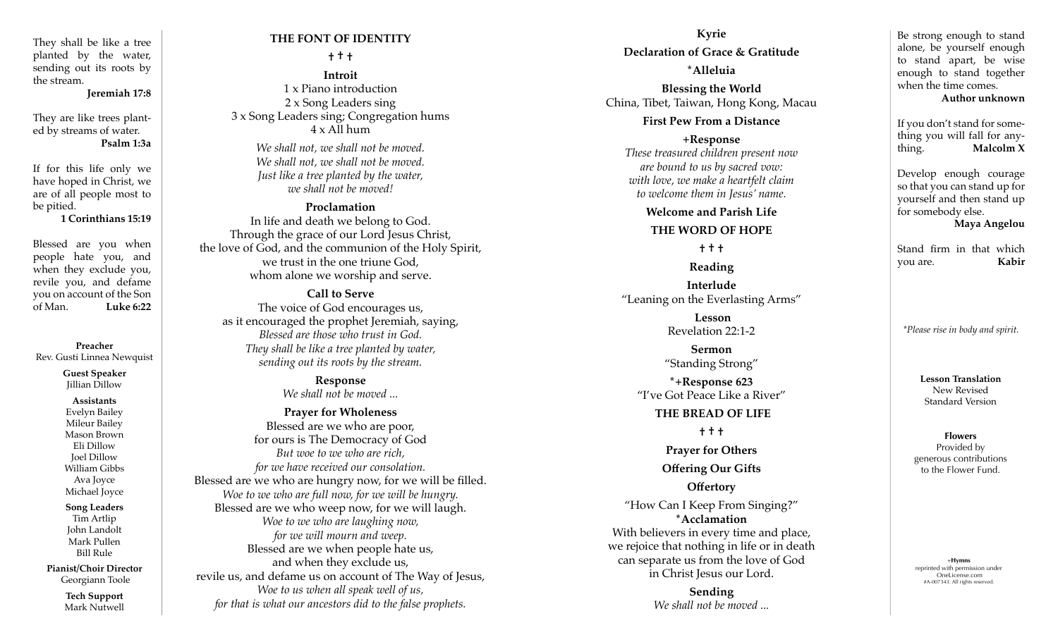They shall be like a tree planted by the water, sending out its roots by the stream.

**Jeremiah 17:8**

They are like trees plant ed by streams of water. **Psalm 1:3a**

If for this life only we have hoped in Christ, we are of all people most to be pitied.

**1 Corinthians 15:19**

Blessed are you when people hate you, and when they exclude you, revile you, and defame you on account of the Son of Man. **Luke 6:22**

**Preacher** Rev. Gusti Linnea Newquist

> **Guest Speaker** Jillian Dillow

**Assistants** Evelyn Bailey Mileur Bailey Mason Brown Eli Dillow Joel Dillow William Gibbs Ava Joyce Michael Joyce

#### **Song Leaders** Tim Artlip

John Landolt Mark Pullen Bill Rule

**Pianist/Choir Director** Georgiann Toole

> **Tech Support** Mark Nutwell

# **THE FONT OF IDENTITY**

## **† † †**

**Introit**  1 x Piano introduction 2 x Song Leaders sing 3 x Song Leaders sing; Congregation hums 4 x All hum

*We shall not, we shall not be moved. We shall not, we shall not be moved. Just like a tree planted by the water, we shall not be moved!*

## **Proclamation**

In life and death we belong to God. Through the grace of our Lord Jesus Christ, the love of God, and the communion of the Holy Spirit, we trust in the one triune God, whom alone we worship and serve.

# **Call to Serve**

The voice of God encourages us, as it encouraged the prophet Jeremiah, saying, *Blessed are those who trust in God. They shall be like a tree planted by water, sending out its roots by the stream.* 

> **Response** *We shall not be moved ...*

**Prayer for Wholeness** Blessed are we who are poor, for ours is The Democracy of God *But woe to we who are rich, for we have received our consolation.*  Blessed are we who are hungry now, for we will be filled. *Woe to we who are full now, for we will be hungry.* Blessed are we who weep now, for we will laugh. *Woe to we who are laughing now, for we will mourn and weep.* Blessed are we when people hate us, and when they exclude us, revile us, and defame us on account of The Way of Jesus, *Woe to us when all speak well of us, for that is what our ancestors did to the false prophets.* 

**Kyrie Declaration of Grace & Gratitude \*Alleluia**

**Blessing the World** China, Tibet, Taiwan, Hong Kong, Macau

## **First Pew From a Distance**

**+Response**  *These treasured children present now are bound to us by sacred vow: with love, we make a heartfelt claim to welcome them in Jesus' name.* 

**Welcome and Parish Life**

#### **THE WORD OF HOPE**

**† † †**

**Reading Interlude** "Leaning on the Everlasting Arms"

> **Lesson** Revelation 22:1-2

**Sermon** "Standing Strong" **\*+Response 623** "I've Got Peace Like a River"

## **THE BREAD OF LIFE**

**† † †**

**Prayer for Others Offering Our Gifts**

# **Offertory**

"How Can I Keep From Singing?" **\*Acclamation** With believers in every time and place, we rejoice that nothing in life or in death can separate us from the love of God in Christ Jesus our Lord.

> **Sending**  *We shall not be moved ...*

Be strong enough to stand alone, be yourself enough to stand apart, be wise enough to stand together when the time comes.

## **Author unknown**

If you don't stand for some thing you will fall for any thing. **Malcolm X**

Develop enough courage so that you can stand up for yourself and then stand up for somebody else. **Maya Angelou**

Stand firm in that which you are. **Kabir**

*\*Please rise in body and spirit.*

**Lesson Translation** New Revised Standard Version

**Flowers** Provided by generous contributions to the Flower Fund.

+**Hymns** reprinted with permission under OneLicense.com #A-007343. All rights reserved.